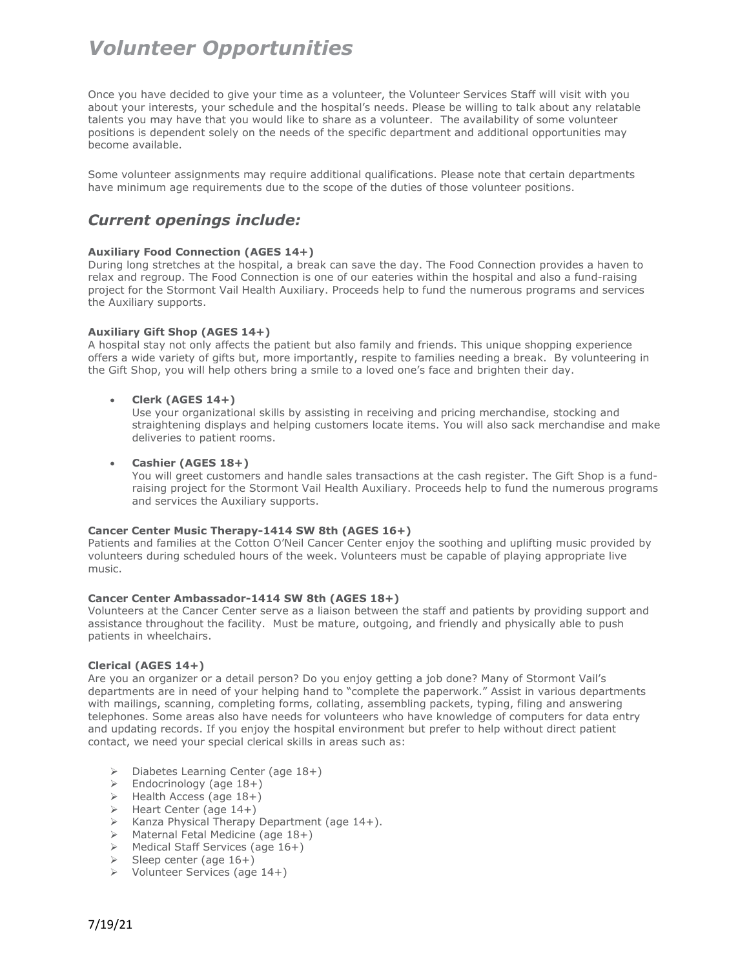Once you have decided to give your time as a volunteer, the Volunteer Services Staff will visit with you about your interests, your schedule and the hospital's needs. Please be willing to talk about any relatable talents you may have that you would like to share as a volunteer. The availability of some volunteer positions is dependent solely on the needs of the specific department and additional opportunities may become available.

Some volunteer assignments may require additional qualifications. Please note that certain departments have minimum age requirements due to the scope of the duties of those volunteer positions.

# *Current openings include:*

# **Auxiliary Food Connection (AGES 14+)**

During long stretches at the hospital, a break can save the day. The Food Connection provides a haven to relax and regroup. The Food Connection is one of our eateries within the hospital and also a fund-raising project for the Stormont Vail Health Auxiliary. Proceeds help to fund the numerous programs and services the Auxiliary supports.

# **Auxiliary Gift Shop (AGES 14+)**

A hospital stay not only affects the patient but also family and friends. This unique shopping experience offers a wide variety of gifts but, more importantly, respite to families needing a break. By volunteering in the Gift Shop, you will help others bring a smile to a loved one's face and brighten their day.

# • **Clerk (AGES 14+)**

Use your organizational skills by assisting in receiving and pricing merchandise, stocking and straightening displays and helping customers locate items. You will also sack merchandise and make deliveries to patient rooms.

### • **Cashier (AGES 18+)**

You will greet customers and handle sales transactions at the cash register. The Gift Shop is a fundraising project for the Stormont Vail Health Auxiliary. Proceeds help to fund the numerous programs and services the Auxiliary supports.

# **Cancer Center Music Therapy-1414 SW 8th (AGES 16+)**

Patients and families at the Cotton O'Neil Cancer Center enjoy the soothing and uplifting music provided by volunteers during scheduled hours of the week. Volunteers must be capable of playing appropriate live music.

# **Cancer Center Ambassador-1414 SW 8th (AGES 18+)**

Volunteers at the Cancer Center serve as a liaison between the staff and patients by providing support and assistance throughout the facility. Must be mature, outgoing, and friendly and physically able to push patients in wheelchairs.

### **Clerical (AGES 14+)**

Are you an organizer or a detail person? Do you enjoy getting a job done? Many of Stormont Vail's departments are in need of your helping hand to "complete the paperwork." Assist in various departments with mailings, scanning, completing forms, collating, assembling packets, typing, filing and answering telephones. Some areas also have needs for volunteers who have knowledge of computers for data entry and updating records. If you enjoy the hospital environment but prefer to help without direct patient contact, we need your special clerical skills in areas such as:

- $\triangleright$  Diabetes Learning Center (age 18+)
- $\geq$  Endocrinology (age 18+)
- $\triangleright$  Health Access (age 18+)
- $\triangleright$  Heart Center (age 14+)
- $\triangleright$  Kanza Physical Therapy Department (age 14+).
- Maternal Fetal Medicine (age 18+)
- Medical Staff Services (age 16+)
- $\triangleright$  Sleep center (age 16+)
- $\triangleright$  Volunteer Services (age 14+)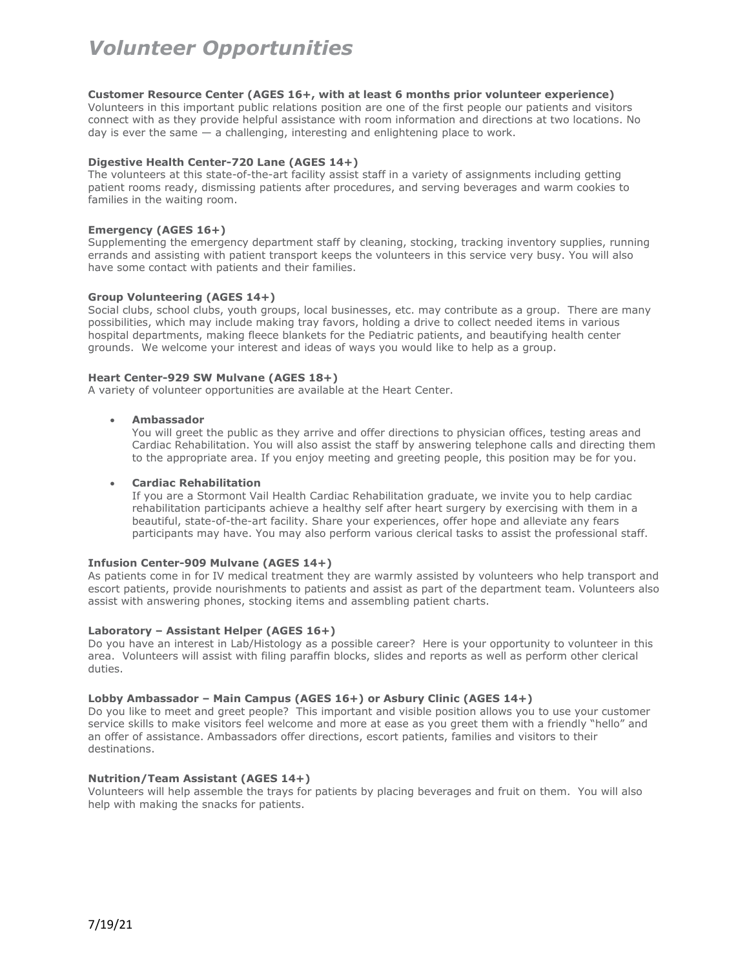#### **Customer Resource Center (AGES 16+, with at least 6 months prior volunteer experience)**

Volunteers in this important public relations position are one of the first people our patients and visitors connect with as they provide helpful assistance with room information and directions at two locations. No day is ever the same — a challenging, interesting and enlightening place to work.

#### **Digestive Health Center-720 Lane (AGES 14+)**

The volunteers at this state-of-the-art facility assist staff in a variety of assignments including getting patient rooms ready, dismissing patients after procedures, and serving beverages and warm cookies to families in the waiting room.

#### **Emergency (AGES 16+)**

Supplementing the emergency department staff by cleaning, stocking, tracking inventory supplies, running errands and assisting with patient transport keeps the volunteers in this service very busy. You will also have some contact with patients and their families.

#### **Group Volunteering (AGES 14+)**

Social clubs, school clubs, youth groups, local businesses, etc. may contribute as a group. There are many possibilities, which may include making tray favors, holding a drive to collect needed items in various hospital departments, making fleece blankets for the Pediatric patients, and beautifying health center grounds. We welcome your interest and ideas of ways you would like to help as a group.

#### **Heart Center-929 SW Mulvane (AGES 18+)**

A variety of volunteer opportunities are available at the Heart Center.

#### • **Ambassador**

You will greet the public as they arrive and offer directions to physician offices, testing areas and Cardiac Rehabilitation. You will also assist the staff by answering telephone calls and directing them to the appropriate area. If you enjoy meeting and greeting people, this position may be for you.

#### • **Cardiac Rehabilitation**

If you are a Stormont Vail Health Cardiac Rehabilitation graduate, we invite you to help cardiac rehabilitation participants achieve a healthy self after heart surgery by exercising with them in a beautiful, state-of-the-art facility. Share your experiences, offer hope and alleviate any fears participants may have. You may also perform various clerical tasks to assist the professional staff.

#### **Infusion Center-909 Mulvane (AGES 14+)**

As patients come in for IV medical treatment they are warmly assisted by volunteers who help transport and escort patients, provide nourishments to patients and assist as part of the department team. Volunteers also assist with answering phones, stocking items and assembling patient charts.

#### **Laboratory – Assistant Helper (AGES 16+)**

Do you have an interest in Lab/Histology as a possible career? Here is your opportunity to volunteer in this area. Volunteers will assist with filing paraffin blocks, slides and reports as well as perform other clerical duties.

# **Lobby Ambassador – Main Campus (AGES 16+) or Asbury Clinic (AGES 14+)**

Do you like to meet and greet people? This important and visible position allows you to use your customer service skills to make visitors feel welcome and more at ease as you greet them with a friendly "hello" and an offer of assistance. Ambassadors offer directions, escort patients, families and visitors to their destinations.

### **Nutrition/Team Assistant (AGES 14+)**

Volunteers will help assemble the trays for patients by placing beverages and fruit on them. You will also help with making the snacks for patients.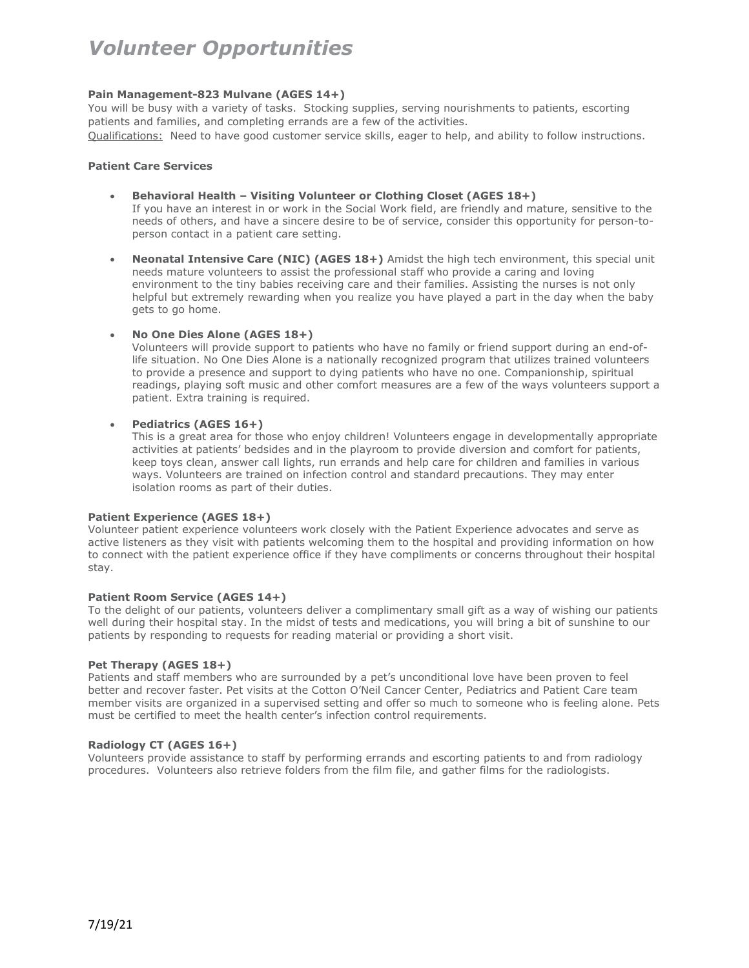# **Pain Management-823 Mulvane (AGES 14+)**

You will be busy with a variety of tasks. Stocking supplies, serving nourishments to patients, escorting patients and families, and completing errands are a few of the activities.

Qualifications: Need to have good customer service skills, eager to help, and ability to follow instructions.

# **Patient Care Services**

- **Behavioral Health – Visiting Volunteer or Clothing Closet (AGES 18+)**  If you have an interest in or work in the Social Work field, are friendly and mature, sensitive to the needs of others, and have a sincere desire to be of service, consider this opportunity for person-toperson contact in a patient care setting.
- **Neonatal Intensive Care (NIC) (AGES 18+)** Amidst the high tech environment, this special unit needs mature volunteers to assist the professional staff who provide a caring and loving environment to the tiny babies receiving care and their families. Assisting the nurses is not only helpful but extremely rewarding when you realize you have played a part in the day when the baby gets to go home.
- **No One Dies Alone (AGES 18+)**

Volunteers will provide support to patients who have no family or friend support during an end-oflife situation. No One Dies Alone is a nationally recognized program that utilizes trained volunteers to provide a presence and support to dying patients who have no one. Companionship, spiritual readings, playing soft music and other comfort measures are a few of the ways volunteers support a patient. Extra training is required.

# • **Pediatrics (AGES 16+)**

This is a great area for those who enjoy children! Volunteers engage in developmentally appropriate activities at patients' bedsides and in the playroom to provide diversion and comfort for patients, keep toys clean, answer call lights, run errands and help care for children and families in various ways. Volunteers are trained on infection control and standard precautions. They may enter isolation rooms as part of their duties.

### **Patient Experience (AGES 18+)**

Volunteer patient experience volunteers work closely with the Patient Experience advocates and serve as active listeners as they visit with patients welcoming them to the hospital and providing information on how to connect with the patient experience office if they have compliments or concerns throughout their hospital stay.

### **Patient Room Service (AGES 14+)**

To the delight of our patients, volunteers deliver a complimentary small gift as a way of wishing our patients well during their hospital stay. In the midst of tests and medications, you will bring a bit of sunshine to our patients by responding to requests for reading material or providing a short visit.

### **Pet Therapy (AGES 18+)**

Patients and staff members who are surrounded by a pet's unconditional love have been proven to feel better and recover faster. Pet visits at the Cotton O'Neil Cancer Center, Pediatrics and Patient Care team member visits are organized in a supervised setting and offer so much to someone who is feeling alone. Pets must be certified to meet the health center's infection control requirements.

### **Radiology CT (AGES 16+)**

Volunteers provide assistance to staff by performing errands and escorting patients to and from radiology procedures. Volunteers also retrieve folders from the film file, and gather films for the radiologists.